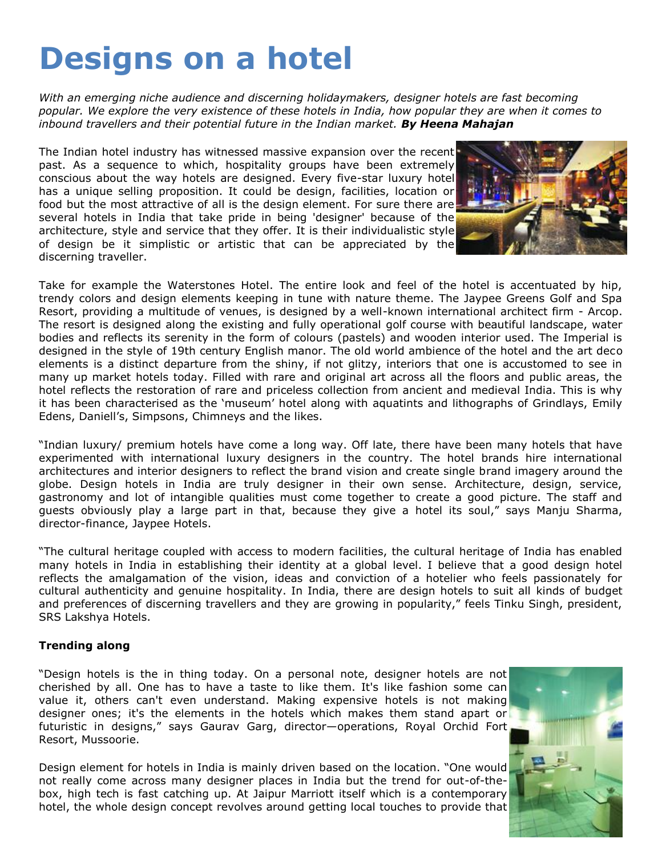# **Designs on a hotel**

*With an emerging niche audience and discerning holidaymakers, designer hotels are fast becoming popular. We explore the very existence of these hotels in India, how popular they are when it comes to inbound travellers and their potential future in the Indian market. By Heena Mahajan*

The Indian hotel industry has witnessed massive expansion over the recent past. As a sequence to which, hospitality groups have been extremely conscious about the way hotels are designed. Every five-star luxury hotel has a unique selling proposition. It could be design, facilities, location or food but the most attractive of all is the design element. For sure there are several hotels in India that take pride in being 'designer' because of the architecture, style and service that they offer. It is their individualistic style of design be it simplistic or artistic that can be appreciated by the discerning traveller.



Take for example the Waterstones Hotel. The entire look and feel of the hotel is accentuated by hip, trendy colors and design elements keeping in tune with nature theme. The Jaypee Greens Golf and Spa Resort, providing a multitude of venues, is designed by a well-known international architect firm - Arcop. The resort is designed along the existing and fully operational golf course with beautiful landscape, water bodies and reflects its serenity in the form of colours (pastels) and wooden interior used. The Imperial is designed in the style of 19th century English manor. The old world ambience of the hotel and the art deco elements is a distinct departure from the shiny, if not glitzy, interiors that one is accustomed to see in many up market hotels today. Filled with rare and original art across all the floors and public areas, the hotel reflects the restoration of rare and priceless collection from ancient and medieval India. This is why it has been characterised as the 'museum' hotel along with aquatints and lithographs of Grindlays, Emily Edens, Daniell"s, Simpsons, Chimneys and the likes.

"Indian luxury/ premium hotels have come a long way. Off late, there have been many hotels that have experimented with international luxury designers in the country. The hotel brands hire international architectures and interior designers to reflect the brand vision and create single brand imagery around the globe. Design hotels in India are truly designer in their own sense. Architecture, design, service, gastronomy and lot of intangible qualities must come together to create a good picture. The staff and guests obviously play a large part in that, because they give a hotel its soul," says Manju Sharma, director-finance, Jaypee Hotels.

"The cultural heritage coupled with access to modern facilities, the cultural heritage of India has enabled many hotels in India in establishing their identity at a global level. I believe that a good design hotel reflects the amalgamation of the vision, ideas and conviction of a hotelier who feels passionately for cultural authenticity and genuine hospitality. In India, there are design hotels to suit all kinds of budget and preferences of discerning travellers and they are growing in popularity," feels Tinku Singh, president, SRS Lakshya Hotels.

#### **Trending along**

"Design hotels is the in thing today. On a personal note, designer hotels are not cherished by all. One has to have a taste to like them. It's like fashion some can value it, others can't even understand. Making expensive hotels is not making designer ones; it's the elements in the hotels which makes them stand apart or futuristic in designs," says Gaurav Garg, director—operations, Royal Orchid Fort Resort, Mussoorie.

Design element for hotels in India is mainly driven based on the location. "One would not really come across many designer places in India but the trend for out-of-thebox, high tech is fast catching up. At Jaipur Marriott itself which is a contemporary hotel, the whole design concept revolves around getting local touches to provide that

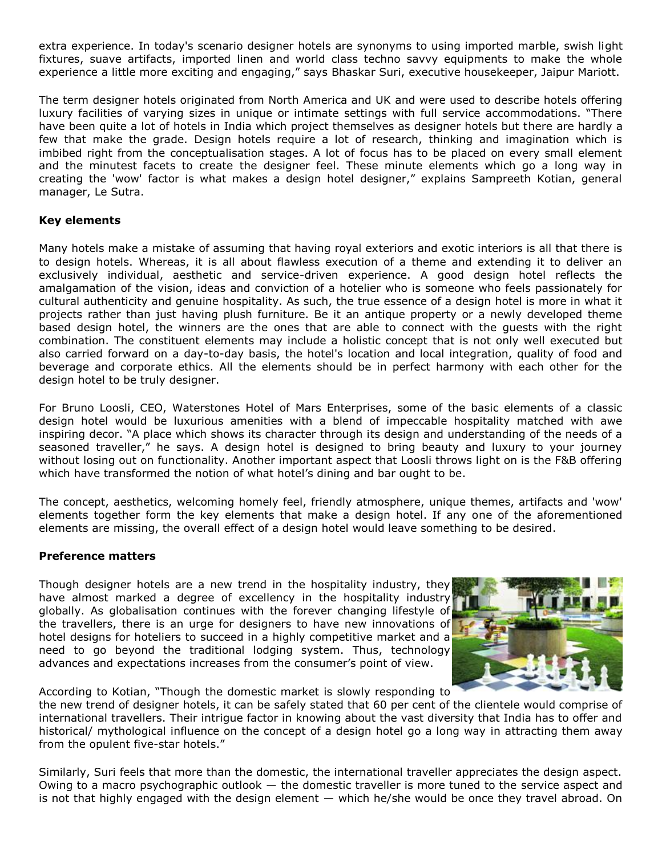extra experience. In today's scenario designer hotels are synonyms to using imported marble, swish light fixtures, suave artifacts, imported linen and world class techno savvy equipments to make the whole experience a little more exciting and engaging," says Bhaskar Suri, executive housekeeper, Jaipur Mariott.

The term designer hotels originated from North America and UK and were used to describe hotels offering luxury facilities of varying sizes in unique or intimate settings with full service accommodations. "There have been quite a lot of hotels in India which project themselves as designer hotels but there are hardly a few that make the grade. Design hotels require a lot of research, thinking and imagination which is imbibed right from the conceptualisation stages. A lot of focus has to be placed on every small element and the minutest facets to create the designer feel. These minute elements which go a long way in creating the 'wow' factor is what makes a design hotel designer," explains Sampreeth Kotian, general manager, Le Sutra.

### **Key elements**

Many hotels make a mistake of assuming that having royal exteriors and exotic interiors is all that there is to design hotels. Whereas, it is all about flawless execution of a theme and extending it to deliver an exclusively individual, aesthetic and service-driven experience. A good design hotel reflects the amalgamation of the vision, ideas and conviction of a hotelier who is someone who feels passionately for cultural authenticity and genuine hospitality. As such, the true essence of a design hotel is more in what it projects rather than just having plush furniture. Be it an antique property or a newly developed theme based design hotel, the winners are the ones that are able to connect with the guests with the right combination. The constituent elements may include a holistic concept that is not only well executed but also carried forward on a day-to-day basis, the hotel's location and local integration, quality of food and beverage and corporate ethics. All the elements should be in perfect harmony with each other for the design hotel to be truly designer.

For Bruno Loosli, CEO, Waterstones Hotel of Mars Enterprises, some of the basic elements of a classic design hotel would be luxurious amenities with a blend of impeccable hospitality matched with awe inspiring decor. "A place which shows its character through its design and understanding of the needs of a seasoned traveller," he says. A design hotel is designed to bring beauty and luxury to your journey without losing out on functionality. Another important aspect that Loosli throws light on is the F&B offering which have transformed the notion of what hotel's dining and bar ought to be.

The concept, aesthetics, welcoming homely feel, friendly atmosphere, unique themes, artifacts and 'wow' elements together form the key elements that make a design hotel. If any one of the aforementioned elements are missing, the overall effect of a design hotel would leave something to be desired.

#### **Preference matters**

Though designer hotels are a new trend in the hospitality industry, they have almost marked a degree of excellency in the hospitality industry globally. As globalisation continues with the forever changing lifestyle of the travellers, there is an urge for designers to have new innovations of hotel designs for hoteliers to succeed in a highly competitive market and a need to go beyond the traditional lodging system. Thus, technology advances and expectations increases from the consumer's point of view.



According to Kotian, "Though the domestic market is slowly responding to

the new trend of designer hotels, it can be safely stated that 60 per cent of the clientele would comprise of international travellers. Their intrigue factor in knowing about the vast diversity that India has to offer and historical/ mythological influence on the concept of a design hotel go a long way in attracting them away from the opulent five-star hotels."

Similarly, Suri feels that more than the domestic, the international traveller appreciates the design aspect. Owing to a macro psychographic outlook  $-$  the domestic traveller is more tuned to the service aspect and is not that highly engaged with the design element — which he/she would be once they travel abroad. On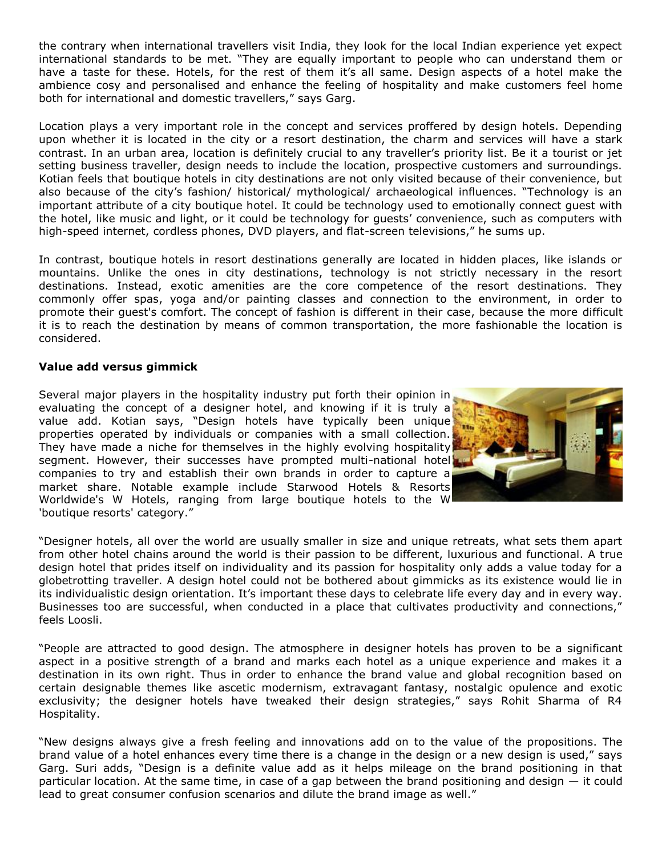the contrary when international travellers visit India, they look for the local Indian experience yet expect international standards to be met. "They are equally important to people who can understand them or have a taste for these. Hotels, for the rest of them it's all same. Design aspects of a hotel make the ambience cosy and personalised and enhance the feeling of hospitality and make customers feel home both for international and domestic travellers," says Garg.

Location plays a very important role in the concept and services proffered by design hotels. Depending upon whether it is located in the city or a resort destination, the charm and services will have a stark contrast. In an urban area, location is definitely crucial to any traveller"s priority list. Be it a tourist or jet setting business traveller, design needs to include the location, prospective customers and surroundings. Kotian feels that boutique hotels in city destinations are not only visited because of their convenience, but also because of the city's fashion/ historical/ mythological/ archaeological influences. "Technology is an important attribute of a city boutique hotel. It could be technology used to emotionally connect guest with the hotel, like music and light, or it could be technology for guests' convenience, such as computers with high-speed internet, cordless phones, DVD players, and flat-screen televisions," he sums up.

In contrast, boutique hotels in resort destinations generally are located in hidden places, like islands or mountains. Unlike the ones in city destinations, technology is not strictly necessary in the resort destinations. Instead, exotic amenities are the core competence of the resort destinations. They commonly offer spas, yoga and/or painting classes and connection to the environment, in order to promote their guest's comfort. The concept of fashion is different in their case, because the more difficult it is to reach the destination by means of common transportation, the more fashionable the location is considered.

#### **Value add versus gimmick**

Several major players in the hospitality industry put forth their opinion in evaluating the concept of a designer hotel, and knowing if it is truly a value add. Kotian says, "Design hotels have typically been unique properties operated by individuals or companies with a small collection. They have made a niche for themselves in the highly evolving hospitality segment. However, their successes have prompted multi-national hotel companies to try and establish their own brands in order to capture a market share. Notable example include Starwood Hotels & Resorts Worldwide's W Hotels, ranging from large boutique hotels to the W 'boutique resorts' category."



"Designer hotels, all over the world are usually smaller in size and unique retreats, what sets them apart from other hotel chains around the world is their passion to be different, luxurious and functional. A true design hotel that prides itself on individuality and its passion for hospitality only adds a value today for a globetrotting traveller. A design hotel could not be bothered about gimmicks as its existence would lie in its individualistic design orientation. It's important these days to celebrate life every day and in every way. Businesses too are successful, when conducted in a place that cultivates productivity and connections," feels Loosli.

"People are attracted to good design. The atmosphere in designer hotels has proven to be a significant aspect in a positive strength of a brand and marks each hotel as a unique experience and makes it a destination in its own right. Thus in order to enhance the brand value and global recognition based on certain designable themes like ascetic modernism, extravagant fantasy, nostalgic opulence and exotic exclusivity; the designer hotels have tweaked their design strategies," says Rohit Sharma of R4 Hospitality.

"New designs always give a fresh feeling and innovations add on to the value of the propositions. The brand value of a hotel enhances every time there is a change in the design or a new design is used," says Garg. Suri adds, "Design is a definite value add as it helps mileage on the brand positioning in that particular location. At the same time, in case of a gap between the brand positioning and design — it could lead to great consumer confusion scenarios and dilute the brand image as well."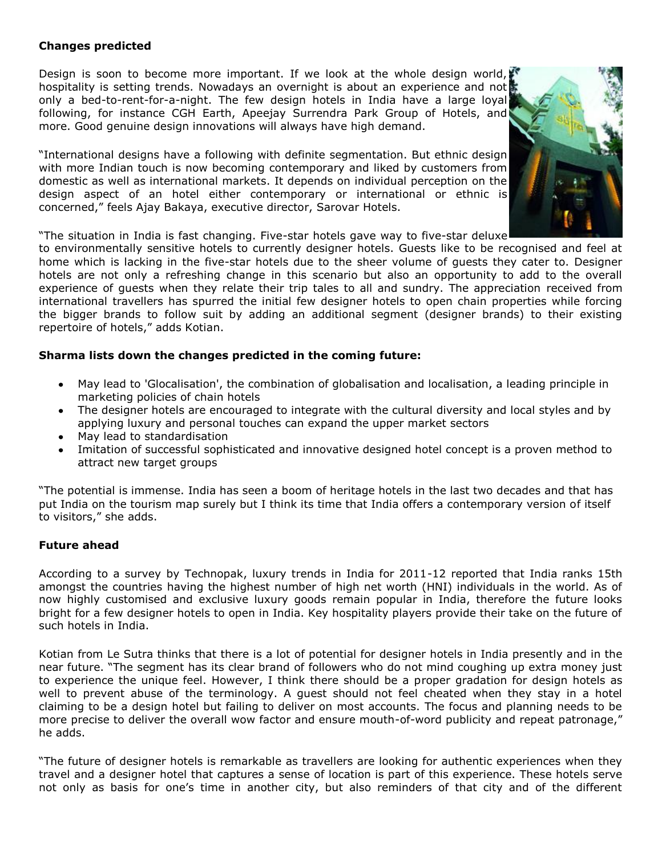## **Changes predicted**

Design is soon to become more important. If we look at the whole design world, hospitality is setting trends. Nowadays an overnight is about an experience and not only a bed-to-rent-for-a-night. The few design hotels in India have a large loyal following, for instance CGH Earth, Apeejay Surrendra Park Group of Hotels, and more. Good genuine design innovations will always have high demand.

"International designs have a following with definite segmentation. But ethnic design with more Indian touch is now becoming contemporary and liked by customers from domestic as well as international markets. It depends on individual perception on the design aspect of an hotel either contemporary or international or ethnic is concerned," feels Ajay Bakaya, executive director, Sarovar Hotels.



"The situation in India is fast changing. Five-star hotels gave way to five-star deluxe

to environmentally sensitive hotels to currently designer hotels. Guests like to be recognised and feel at home which is lacking in the five-star hotels due to the sheer volume of guests they cater to. Designer hotels are not only a refreshing change in this scenario but also an opportunity to add to the overall experience of guests when they relate their trip tales to all and sundry. The appreciation received from international travellers has spurred the initial few designer hotels to open chain properties while forcing the bigger brands to follow suit by adding an additional segment (designer brands) to their existing repertoire of hotels," adds Kotian.

#### **Sharma lists down the changes predicted in the coming future:**

- May lead to 'Glocalisation', the combination of globalisation and localisation, a leading principle in marketing policies of chain hotels
- The designer hotels are encouraged to integrate with the cultural diversity and local styles and by  $\bullet$ applying luxury and personal touches can expand the upper market sectors
- May lead to standardisation
- Imitation of successful sophisticated and innovative designed hotel concept is a proven method to attract new target groups

"The potential is immense. India has seen a boom of heritage hotels in the last two decades and that has put India on the tourism map surely but I think its time that India offers a contemporary version of itself to visitors," she adds.

#### **Future ahead**

According to a survey by Technopak, luxury trends in India for 2011-12 reported that India ranks 15th amongst the countries having the highest number of high net worth (HNI) individuals in the world. As of now highly customised and exclusive luxury goods remain popular in India, therefore the future looks bright for a few designer hotels to open in India. Key hospitality players provide their take on the future of such hotels in India.

Kotian from Le Sutra thinks that there is a lot of potential for designer hotels in India presently and in the near future. "The segment has its clear brand of followers who do not mind coughing up extra money just to experience the unique feel. However, I think there should be a proper gradation for design hotels as well to prevent abuse of the terminology. A guest should not feel cheated when they stay in a hotel claiming to be a design hotel but failing to deliver on most accounts. The focus and planning needs to be more precise to deliver the overall wow factor and ensure mouth-of-word publicity and repeat patronage," he adds.

"The future of designer hotels is remarkable as travellers are looking for authentic experiences when they travel and a designer hotel that captures a sense of location is part of this experience. These hotels serve not only as basis for one's time in another city, but also reminders of that city and of the different